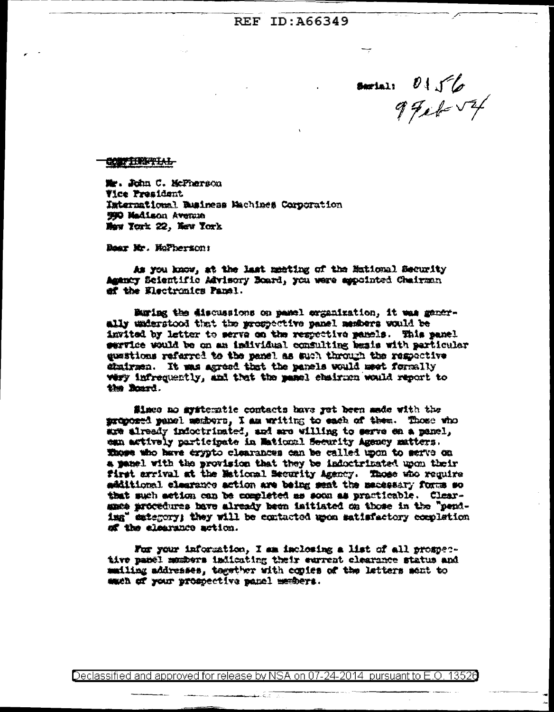serial  $0156$ 

## CONTRIGUES

Mr. John C. McPherson **Vice President** International Business Machines Corporation 990 Madison Avenue Maw York 22, New York

Boar Mr. Hofberson:

As you know, at the last meeting of the Mational Security Amenty Scientific Advisory Board, you were aspointed Chairman of the Electronics Panel.

Buring the discussions on panel organization, it was generally understood that the prospective panel members would be invited by letter to serve on the respective panels. This panel pervice would be on an individual consulting basis with particular questions referred to the panel as such through the respective stairsen. It was agreed that the panels would meet formally wery infrequently, and that the manual shairmen would report to the Board.

Since no systematic contacts have yet been made with the proposed panel members. I am writing to each of them. Those who are already indoctrinated, and are willing to serve en a panel, ean actively participate in Maticonl Security Agency matters. Those who have erypto clearances can be called upon to serve on a panel with the provision that they be indoctrinated upon their first arrival at the Metional Security Agency. Those who require määltional elemmante action are being meat the madessary force so that such action can be completed as soon as practicable. Clearames procedures have already been initiated on those in the "pendima" estegory; they will be contacted upon satisfactory completion of the clearance action.

For your information, I am inclosing a list of all prospective panel members indicating their eurrent clearance status and mailing addresses, together with copies of the latters sent to each of your prospective panel members.